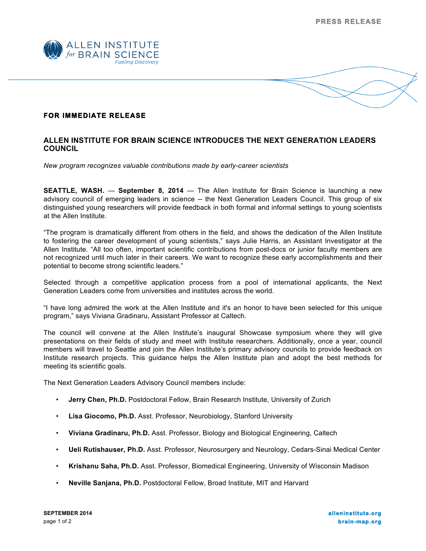



## **ALLEN INSTITUTE FOR BRAIN SCIENCE INTRODUCES THE NEXT GENERATION LEADERS COUNCIL**

*New program recognizes valuable contributions made by early-career scientists*

**SEATTLE, WASH.** — **September 8, 2014** — The Allen Institute for Brain Science is launching a new advisory council of emerging leaders in science -- the Next Generation Leaders Council. This group of six distinguished young researchers will provide feedback in both formal and informal settings to young scientists at the Allen Institute.

"The program is dramatically different from others in the field, and shows the dedication of the Allen Institute to fostering the career development of young scientists," says Julie Harris, an Assistant Investigator at the Allen Institute. "All too often, important scientific contributions from post-docs or junior faculty members are not recognized until much later in their careers. We want to recognize these early accomplishments and their potential to become strong scientific leaders."

Selected through a competitive application process from a pool of international applicants, the Next Generation Leaders come from universities and institutes across the world.

"I have long admired the work at the Allen Institute and it's an honor to have been selected for this unique program," says Viviana Gradinaru, Assistant Professor at Caltech.

The council will convene at the Allen Institute's inaugural Showcase symposium where they will give presentations on their fields of study and meet with Institute researchers. Additionally, once a year, council members will travel to Seattle and join the Allen Institute's primary advisory councils to provide feedback on Institute research projects. This guidance helps the Allen Institute plan and adopt the best methods for meeting its scientific goals.

The Next Generation Leaders Advisory Council members include:

- **Jerry Chen, Ph.D.** Postdoctoral Fellow, Brain Research Institute, University of Zurich
- **Lisa Giocomo, Ph.D.** Asst. Professor, Neurobiology, Stanford University
- **Viviana Gradinaru, Ph.D.** Asst. Professor, Biology and Biological Engineering, Caltech
- **Ueli Rutishauser, Ph.D.** Asst. Professor, Neurosurgery and Neurology, Cedars-Sinai Medical Center
- **Krishanu Saha, Ph.D.** Asst. Professor, Biomedical Engineering, University of Wisconsin Madison
- **Neville Sanjana, Ph.D.** Postdoctoral Fellow, Broad Institute, MIT and Harvard